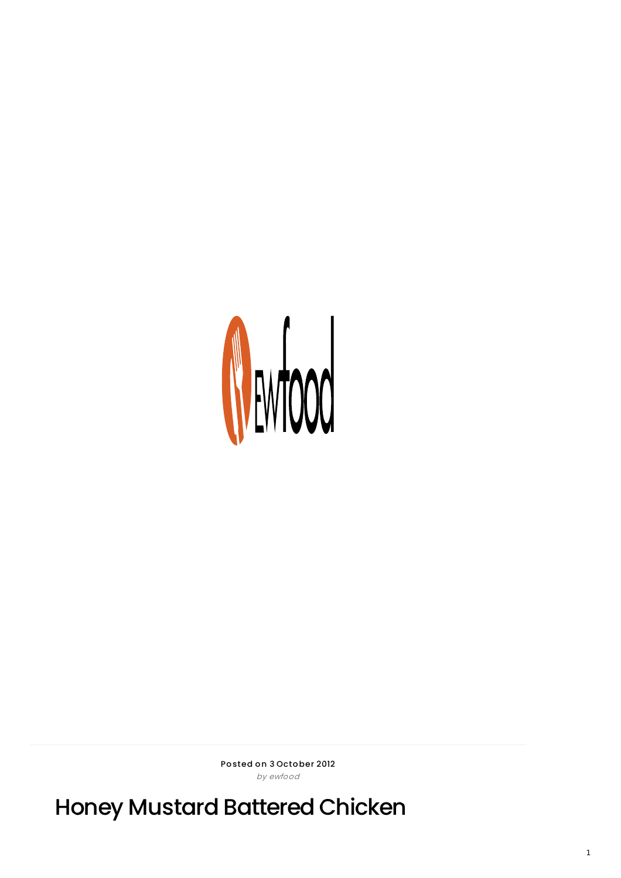

Posted on 3 October 2012 by ewfood

Honey Mustard Battered Chicken